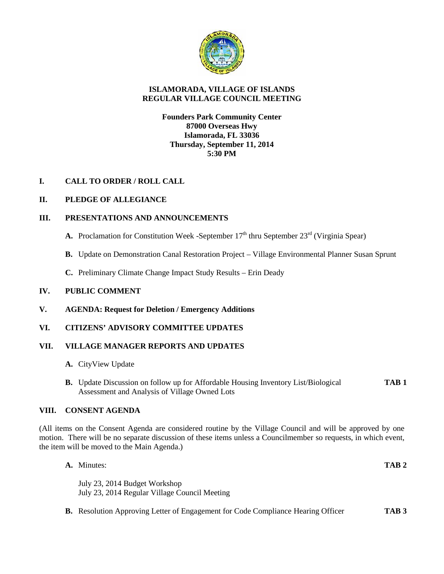

# **ISLAMORADA, VILLAGE OF ISLANDS REGULAR VILLAGE COUNCIL MEETING**

## **Founders Park Community Center 87000 Overseas Hwy Islamorada, FL 33036 Thursday, September 11, 2014 5:30 PM**

# **I. CALL TO ORDER / ROLL CALL**

# **II. PLEDGE OF ALLEGIANCE**

## **III. PRESENTATIONS AND ANNOUNCEMENTS**

- **A.** Proclamation for Constitution Week -September  $17<sup>th</sup>$  thru September  $23<sup>rd</sup>$  (Virginia Spear)
- **B.** Update on Demonstration Canal Restoration Project Village Environmental Planner Susan Sprunt
- **C.** Preliminary Climate Change Impact Study Results Erin Deady

## **IV. PUBLIC COMMENT**

**V. AGENDA: Request for Deletion / Emergency Additions**

## **VI. CITIZENS' ADVISORY COMMITTEE UPDATES**

## **VII. VILLAGE MANAGER REPORTS AND UPDATES**

- **A.** CityView Update
- **B.** Update Discussion on follow up for Affordable Housing Inventory List/Biological **TAB 1** Assessment and Analysis of Village Owned Lots

## **VIII. CONSENT AGENDA**

(All items on the Consent Agenda are considered routine by the Village Council and will be approved by one motion. There will be no separate discussion of these items unless a Councilmember so requests, in which event, the item will be moved to the Main Agenda.)

| A. Minutes:                                                                             | TAB <sub>2</sub> |
|-----------------------------------------------------------------------------------------|------------------|
| July 23, 2014 Budget Workshop<br>July 23, 2014 Regular Village Council Meeting          |                  |
| <b>B.</b> Resolution Approving Letter of Engagement for Code Compliance Hearing Officer | TAB <sub>3</sub> |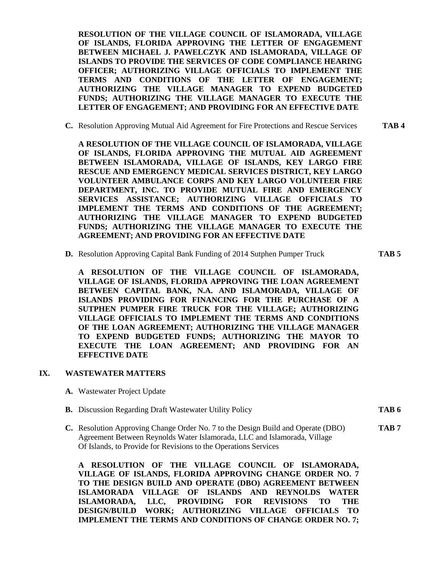**RESOLUTION OF THE VILLAGE COUNCIL OF ISLAMORADA, VILLAGE OF ISLANDS, FLORIDA APPROVING THE LETTER OF ENGAGEMENT BETWEEN MICHAEL J. PAWELCZYK AND ISLAMORADA, VILLAGE OF ISLANDS TO PROVIDE THE SERVICES OF CODE COMPLIANCE HEARING OFFICER; AUTHORIZING VILLAGE OFFICIALS TO IMPLEMENT THE TERMS AND CONDITIONS OF THE LETTER OF ENGAGEMENT; AUTHORIZING THE VILLAGE MANAGER TO EXPEND BUDGETED FUNDS; AUTHORIZING THE VILLAGE MANAGER TO EXECUTE THE LETTER OF ENGAGEMENT; AND PROVIDING FOR AN EFFECTIVE DATE**

**C.** Resolution Approving Mutual Aid Agreement for Fire Protections and Rescue Services **TAB 4**

**A RESOLUTION OF THE VILLAGE COUNCIL OF ISLAMORADA, VILLAGE OF ISLANDS, FLORIDA APPROVING THE MUTUAL AID AGREEMENT BETWEEN ISLAMORADA, VILLAGE OF ISLANDS, KEY LARGO FIRE RESCUE AND EMERGENCY MEDICAL SERVICES DISTRICT, KEY LARGO VOLUNTEER AMBULANCE CORPS AND KEY LARGO VOLUNTEER FIRE DEPARTMENT, INC. TO PROVIDE MUTUAL FIRE AND EMERGENCY SERVICES ASSISTANCE; AUTHORIZING VILLAGE OFFICIALS TO IMPLEMENT THE TERMS AND CONDITIONS OF THE AGREEMENT; AUTHORIZING THE VILLAGE MANAGER TO EXPEND BUDGETED FUNDS; AUTHORIZING THE VILLAGE MANAGER TO EXECUTE THE AGREEMENT; AND PROVIDING FOR AN EFFECTIVE DATE**

**D.** Resolution Approving Capital Bank Funding of 2014 Sutphen Pumper Truck **TAB 5**

**A RESOLUTION OF THE VILLAGE COUNCIL OF ISLAMORADA, VILLAGE OF ISLANDS, FLORIDA APPROVING THE LOAN AGREEMENT BETWEEN CAPITAL BANK, N.A. AND ISLAMORADA, VILLAGE OF ISLANDS PROVIDING FOR FINANCING FOR THE PURCHASE OF A SUTPHEN PUMPER FIRE TRUCK FOR THE VILLAGE; AUTHORIZING VILLAGE OFFICIALS TO IMPLEMENT THE TERMS AND CONDITIONS OF THE LOAN AGREEMENT; AUTHORIZING THE VILLAGE MANAGER TO EXPEND BUDGETED FUNDS; AUTHORIZING THE MAYOR TO EXECUTE THE LOAN AGREEMENT; AND PROVIDING FOR AN EFFECTIVE DATE**

#### **IX. WASTEWATER MATTERS**

- **A.** Wastewater Project Update
- **B.** Discussion Regarding Draft Wastewater Utility Policy **TAB 6**
	-
- **C.** Resolution Approving Change Order No. 7 to the Design Build and Operate (DBO) **TAB 7** Agreement Between Reynolds Water Islamorada, LLC and Islamorada, Village Of Islands, to Provide for Revisions to the Operations Services

**A RESOLUTION OF THE VILLAGE COUNCIL OF ISLAMORADA, VILLAGE OF ISLANDS, FLORIDA APPROVING CHANGE ORDER NO. 7 TO THE DESIGN BUILD AND OPERATE (DBO) AGREEMENT BETWEEN ISLAMORADA VILLAGE OF ISLANDS AND REYNOLDS WATER ISLAMORADA, LLC, PROVIDING FOR REVISIONS TO THE DESIGN/BUILD WORK; AUTHORIZING VILLAGE OFFICIALS TO IMPLEMENT THE TERMS AND CONDITIONS OF CHANGE ORDER NO. 7;**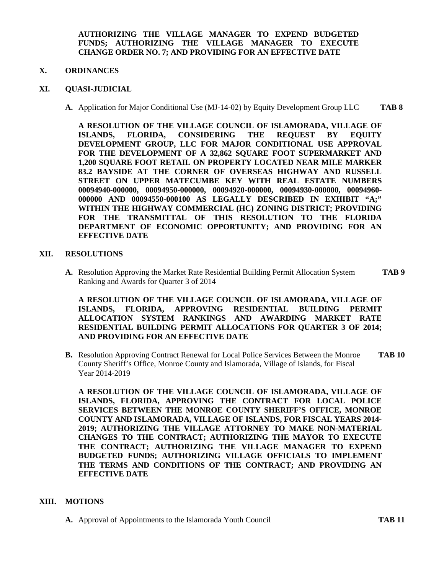**AUTHORIZING THE VILLAGE MANAGER TO EXPEND BUDGETED FUNDS; AUTHORIZING THE VILLAGE MANAGER TO EXECUTE CHANGE ORDER NO. 7; AND PROVIDING FOR AN EFFECTIVE DATE**

#### **X. ORDINANCES**

#### **XI. QUASI-JUDICIAL**

**A.** Application for Major Conditional Use (MJ-14-02) by Equity Development Group LLC **TAB 8**

**A RESOLUTION OF THE VILLAGE COUNCIL OF ISLAMORADA, VILLAGE OF ISLANDS, FLORIDA, CONSIDERING THE REQUEST BY EQUITY DEVELOPMENT GROUP, LLC FOR MAJOR CONDITIONAL USE APPROVAL FOR THE DEVELOPMENT OF A 32,862 SQUARE FOOT SUPERMARKET AND 1,200 SQUARE FOOT RETAIL ON PROPERTY LOCATED NEAR MILE MARKER 83.2 BAYSIDE AT THE CORNER OF OVERSEAS HIGHWAY AND RUSSELL STREET ON UPPER MATECUMBE KEY WITH REAL ESTATE NUMBERS 00094940-000000, 00094950-000000, 00094920-000000, 00094930-000000, 00094960- 000000 AND 00094550-000100 AS LEGALLY DESCRIBED IN EXHIBIT "A;" WITHIN THE HIGHWAY COMMERCIAL (HC) ZONING DISTRICT; PROVIDING FOR THE TRANSMITTAL OF THIS RESOLUTION TO THE FLORIDA DEPARTMENT OF ECONOMIC OPPORTUNITY; AND PROVIDING FOR AN EFFECTIVE DATE**

#### **XII. RESOLUTIONS**

**A.** Resolution Approving the Market Rate Residential Building Permit Allocation System **TAB 9** Ranking and Awards for Quarter 3 of 2014

**A RESOLUTION OF THE VILLAGE COUNCIL OF ISLAMORADA, VILLAGE OF ISLANDS, FLORIDA, APPROVING RESIDENTIAL BUILDING PERMIT ALLOCATION SYSTEM RANKINGS AND AWARDING MARKET RATE RESIDENTIAL BUILDING PERMIT ALLOCATIONS FOR QUARTER 3 OF 2014; AND PROVIDING FOR AN EFFECTIVE DATE**

**B.** Resolution Approving Contract Renewal for Local Police Services Between the Monroe **TAB 10** County Sheriff's Office, Monroe County and Islamorada, Village of Islands, for Fiscal Year 2014-2019

**A RESOLUTION OF THE VILLAGE COUNCIL OF ISLAMORADA, VILLAGE OF ISLANDS, FLORIDA, APPROVING THE CONTRACT FOR LOCAL POLICE SERVICES BETWEEN THE MONROE COUNTY SHERIFF'S OFFICE, MONROE COUNTY AND ISLAMORADA, VILLAGE OF ISLANDS, FOR FISCAL YEARS 2014- 2019; AUTHORIZING THE VILLAGE ATTORNEY TO MAKE NON-MATERIAL CHANGES TO THE CONTRACT; AUTHORIZING THE MAYOR TO EXECUTE THE CONTRACT; AUTHORIZING THE VILLAGE MANAGER TO EXPEND BUDGETED FUNDS; AUTHORIZING VILLAGE OFFICIALS TO IMPLEMENT THE TERMS AND CONDITIONS OF THE CONTRACT; AND PROVIDING AN EFFECTIVE DATE**

## **XIII. MOTIONS**

**A.** Approval of Appointments to the Islamorada Youth Council **TAB 11**